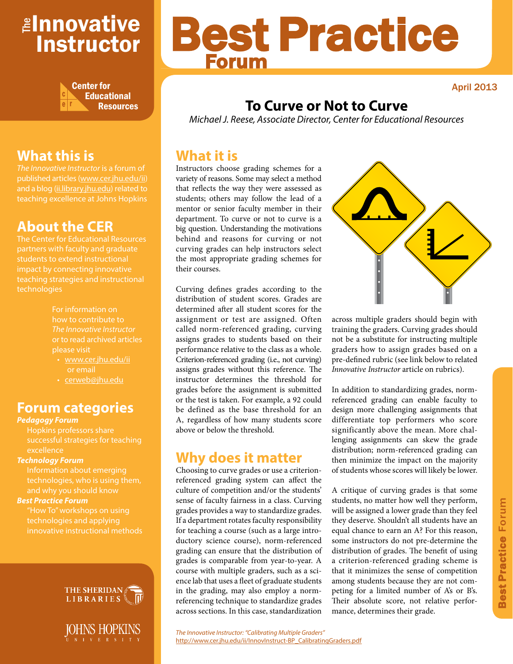# <mark>≇Innovative</mark> Instructor



# Best Practice Forum

April 2013

# **To Curve or Not to Curve**

*Michael J. Reese, Associate Director, Center for Educational Resources*

### **What it is**

Instructors choose grading schemes for a variety of reasons. Some may select a method that reflects the way they were assessed as students; others may follow the lead of a mentor or senior faculty member in their department. To curve or not to curve is a big question. Understanding the motivations behind and reasons for curving or not curving grades can help instructors select the most appropriate grading schemes for their courses.

Curving defines grades according to the distribution of student scores. Grades are determined after all student scores for the assignment or test are assigned. Often called norm-referenced grading, curving assigns grades to students based on their performance relative to the class as a whole. Criterion-referenced grading (i.e., not curving) assigns grades without this reference. The instructor determines the threshold for grades before the assignment is submitted or the test is taken. For example, a 92 could be defined as the base threshold for an A, regardless of how many students score above or below the threshold.

### **Why does it matter**

Choosing to curve grades or use a criterionreferenced grading system can affect the culture of competition and/or the students' sense of faculty fairness in a class. Curving grades provides a way to standardize grades. If a department rotates faculty responsibility for teaching a course (such as a large introductory science course), norm-referenced grading can ensure that the distribution of grades is comparable from year-to-year. A course with multiple graders, such as a science lab that uses a fleet of graduate students in the grading, may also employ a normreferencing technique to standardize grades across sections. In this case, standardization



across multiple graders should begin with training the graders. Curving grades should not be a substitute for instructing multiple graders how to assign grades based on a pre-defined rubric (see link below to related *Innovative Instructor* article on rubrics).

In addition to standardizing grades, normreferenced grading can enable faculty to design more challenging assignments that differentiate top performers who score significantly above the mean. More challenging assignments can skew the grade distribution; norm-referenced grading can then minimize the impact on the majority of students whose scores will likely be lower.

A critique of curving grades is that some students, no matter how well they perform, will be assigned a lower grade than they feel they deserve. Shouldn't all students have an equal chance to earn an A? For this reason, some instructors do not pre-determine the distribution of grades. The benefit of using a criterion-referenced grading scheme is that it minimizes the sense of competition among students because they are not competing for a limited number of A's or B's. Their absolute score, not relative performance, determines their grade.

# **What this is**

*The Innovative Instructor* is a forum of published articles (www.cer.jhu.edu/ii) and a blog (ii.library.jhu.edu) related to teaching excellence at Johns Hopkins

# **About the CER**

The Center for Educational Resources students to extend instructional impact by connecting innovative technologies

> For information on how to contribute to *The Innovative Instructor* or to read archived articles please visit

- www.cer.jhu.edu/ii or email
- cerweb@jhu.edu

### **Forum categories**

#### *Pedagogy Forum*

Hopkins professors share successful strategies for teaching

#### *Technology Forum*

technologies, who is using them, and why you should know

#### *Best Practice Forum*

"How To" workshops on using technologies and applying innovative instructional methods





*The Innovative Instructor: "Calibrating Multiple Graders"*  http://www.cer.jhu.edu/ii/InnovInstruct-BP\_CalibratingGraders.pdf